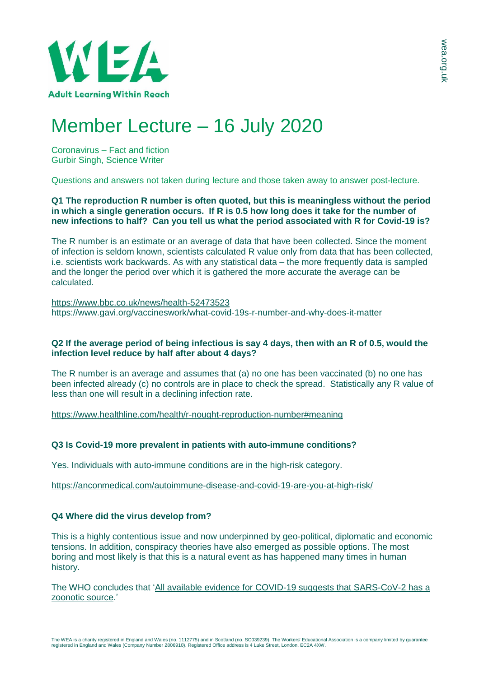

# Member Lecture – 16 July 2020

Coronavirus – Fact and fiction Gurbir Singh, Science Writer

Questions and answers not taken during lecture and those taken away to answer post-lecture.

**Q1 The reproduction R number is often quoted, but this is meaningless without the period in which a single generation occurs. If R is 0.5 how long does it take for the number of new infections to half? Can you tell us what the period associated with R for Covid-19 is?**

The R number is an estimate or an average of data that have been collected. Since the moment of infection is seldom known, scientists calculated R value only from data that has been collected, i.e. scientists work backwards. As with any statistical data – the more frequently data is sampled and the longer the period over which it is gathered the more accurate the average can be calculated.

<https://www.bbc.co.uk/news/health-52473523> <https://www.gavi.org/vaccineswork/what-covid-19s-r-number-and-why-does-it-matter>

# Q2 If the average period of being infectious is say 4 days, then with an R of 0.5, would the **infection level reduce by half after about 4 days?**

The R number is an average and assumes that (a) no one has been vaccinated (b) no one has been infected already (c) no controls are in place to check the spread. Statistically any R value of less than one will result in a declining infection rate.

<https://www.healthline.com/health/r-nought-reproduction-number#meaning>

# **Q3 Is Covid-19 more prevalent in patients with auto-immune conditions?**

Yes. Individuals with auto-immune conditions are in the high-risk category.

<https://anconmedical.com/autoimmune-disease-and-covid-19-are-you-at-high-risk/>

# **Q4 Where did the virus develop from?**

This is a highly contentious issue and now underpinned by geo-political, diplomatic and economic tensions. In addition, conspiracy theories have also emerged as possible options. The most boring and most likely is that this is a natural event as has happened many times in human history.

The WHO concludes that 'All available evidence for COVID-19 suggests that [SARS-CoV-2](https://www.who.int/docs/default-source/coronaviruse/situation-reports/20200423-sitrep-94-covid-19.pdf?sfvrsn=b8304bf0_4) has a [zoonotic](https://www.who.int/docs/default-source/coronaviruse/situation-reports/20200423-sitrep-94-covid-19.pdf?sfvrsn=b8304bf0_4) source.'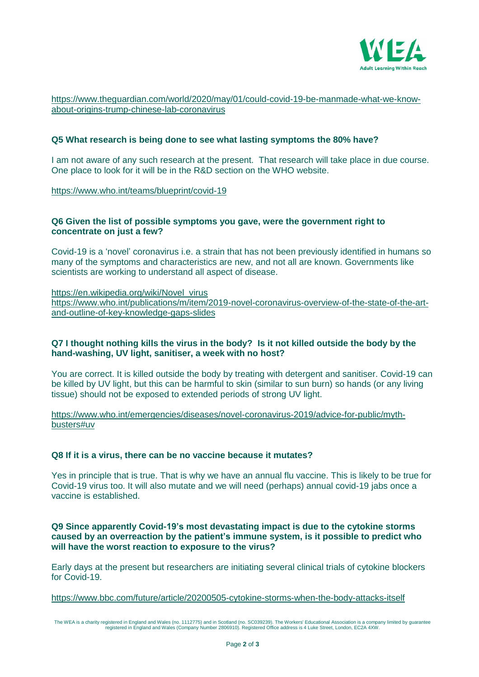

[https://www.theguardian.com/world/2020/may/01/could-covid-19-be-manmade-what-we-know](https://www.theguardian.com/world/2020/may/01/could-covid-19-be-manmade-what-we-know-about-origins-trump-chinese-lab-coronavirus)[about-origins-trump-chinese-lab-coronavirus](https://www.theguardian.com/world/2020/may/01/could-covid-19-be-manmade-what-we-know-about-origins-trump-chinese-lab-coronavirus)

### **Q5 What research is being done to see what lasting symptoms the 80% have?**

I am not aware of any such research at the present. That research will take place in due course. One place to look for it will be in the R&D section on the WHO website.

<https://www.who.int/teams/blueprint/covid-19>

## **Q6 Given the list of possible symptoms you gave, were the government right to concentrate on just a few?**

Covid-19 is a 'novel' coronavirus i.e. a strain that has not been previously identified in humans so many of the symptoms and characteristics are new, and not all are known. Governments like scientists are working to understand all aspect of disease.

[https://en.wikipedia.org/wiki/Novel\\_virus](https://en.wikipedia.org/wiki/Novel_virus)

[https://www.who.int/publications/m/item/2019-novel-coronavirus-overview-of-the-state-of-the-art](https://www.who.int/publications/m/item/2019-novel-coronavirus-overview-of-the-state-of-the-art-and-outline-of-key-knowledge-gaps-slides)[and-outline-of-key-knowledge-gaps-slides](https://www.who.int/publications/m/item/2019-novel-coronavirus-overview-of-the-state-of-the-art-and-outline-of-key-knowledge-gaps-slides)

## **Q7 I thought nothing kills the virus in the body? Is it not killed outside the body by the hand-washing, UV light, sanitiser, a week with no host?**

You are correct. It is killed outside the body by treating with detergent and sanitiser. Covid-19 can be killed by UV light, but this can be harmful to skin (similar to sun burn) so hands (or any living tissue) should not be exposed to extended periods of strong UV light.

[https://www.who.int/emergencies/diseases/novel-coronavirus-2019/advice-for-public/myth](https://www.who.int/emergencies/diseases/novel-coronavirus-2019/advice-for-public/myth-busters#uv)[busters#uv](https://www.who.int/emergencies/diseases/novel-coronavirus-2019/advice-for-public/myth-busters#uv)

#### **Q8 If it is a virus, there can be no vaccine because it mutates?**

Yes in principle that is true. That is why we have an annual flu vaccine. This is likely to be true for Covid-19 virus too. It will also mutate and we will need (perhaps) annual covid-19 jabs once a vaccine is established.

**Q9 Since apparently Covid-19's most devastating impact is due to the cytokine storms caused by an overreaction by the patient's immune system, is it possible to predict who will have the worst reaction to exposure to the virus?**

Early days at the present but researchers are initiating several clinical trials of cytokine blockers for Covid-19.

<https://www.bbc.com/future/article/20200505-cytokine-storms-when-the-body-attacks-itself>

The WEA is a charity registered in England and Wales (no. 1112775) and in Scotland (no. SC039239). The Workers' Educational Association is a company limited by guarantee<br>registered in England and Wales (Company Number 2806